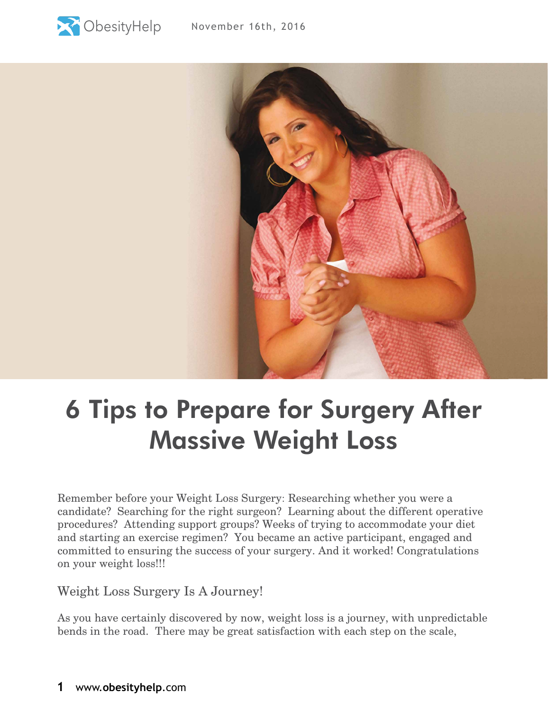



## 6 Tips to Prepare for Surgery After Massive Weight Loss

Remember before your Weight Loss Surgery: Researching whether you were a candidate? Searching for the right surgeon? Learning about the different operative procedures? Attending support groups? Weeks of trying to accommodate your diet and starting an exercise regimen? You became an active participant, engaged and committed to ensuring the success of your surgery. And it worked! Congratulations on your weight loss!!!

Weight Loss Surgery Is A Journey!

As you have certainly discovered by now, weight loss is a journey, with unpredictable bends in the road. There may be great satisfaction with each step on the scale,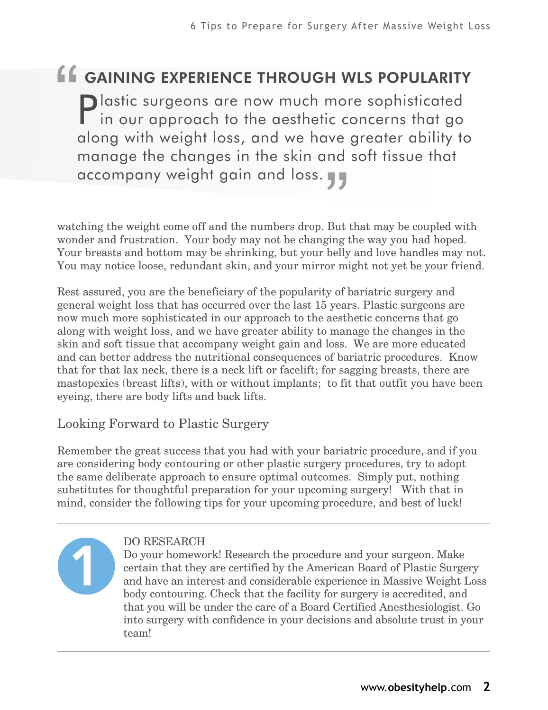# "<br>"<br>. gaining experience through wls popularity

Plastic surgeons are now much more sophisticated in our approach to the aesthetic concerns that go along with weight loss, and we have greater ability to manage the changes in the skin and soft tissue that accompany weight gain and loss. ve<br>nd<br>**JJ** 

watching the weight come off and the numbers drop. But that may be coupled with wonder and frustration. Your body may not be changing the way you had hoped. Your breasts and bottom may be shrinking, but your belly and love handles may not. You may notice loose, redundant skin, and your mirror might not yet be your friend.

Rest assured, you are the beneficiary of the popularity of bariatric surgery and general weight loss that has occurred over the last 15 years. Plastic surgeons are now much more sophisticated in our approach to the aesthetic concerns that go along with weight loss, and we have greater ability to manage the changes in the skin and soft tissue that accompany weight gain and loss. We are more educated and can better address the nutritional consequences of bariatric procedures. Know that for that lax neck, there is a neck lift or facelift; for sagging breasts, there are mastopexies (breast lifts), with or without implants; to fit that outfit you have been eyeing, there are body lifts and back lifts.

### Looking Forward to Plastic Surgery

Remember the great success that you had with your bariatric procedure, and if you are considering body contouring or other plastic surgery procedures, try to adopt the same deliberate approach to ensure optimal outcomes. Simply put, nothing substitutes for thoughtful preparation for your upcoming surgery! With that in mind, consider the following tips for your upcoming procedure, and best of luck!



#### DO RESEARCH

Do your homework! Research the procedure and your surgeon. Make certain that they are certified by the American Board of Plastic Surgery and have an interest and considerable experience in Massive Weight Loss body contouring. Check that the facility for surgery is accredited, and that you will be under the care of a Board Certified Anesthesiologist. Go into surgery with confidence in your decisions and absolute trust in your team!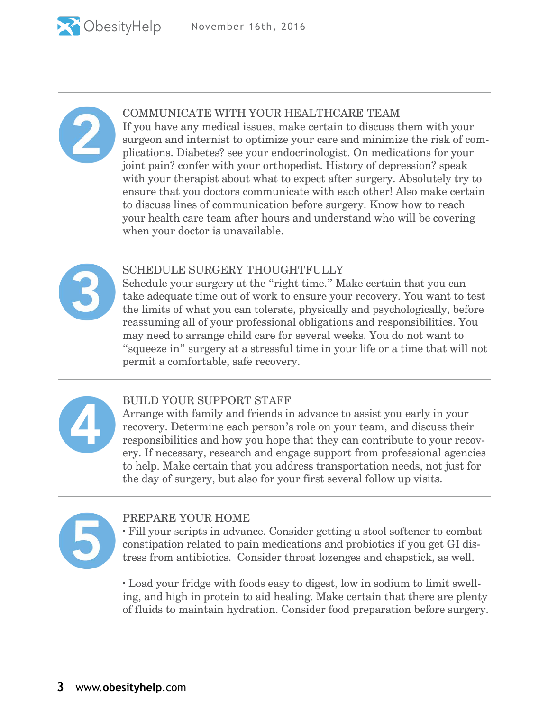

#### COMMUNICATE WITH YOUR HEALTHCARE TEAM

If you have any medical issues, make certain to discuss them with your surgeon and internist to optimize your care and minimize the risk of complications. Diabetes? see your endocrinologist. On medications for your joint pain? confer with your orthopedist. History of depression? speak with your therapist about what to expect after surgery. Absolutely try to ensure that you doctors communicate with each other! Also make certain to discuss lines of communication before surgery. Know how to reach your health care team after hours and understand who will be covering when your doctor is unavailable.



#### SCHEDULE SURGERY THOUGHTFULLY

Schedule your surgery at the "right time." Make certain that you can take adequate time out of work to ensure your recovery. You want to test the limits of what you can tolerate, physically and psychologically, before reassuming all of your professional obligations and responsibilities. You may need to arrange child care for several weeks. You do not want to "squeeze in" surgery at a stressful time in your life or a time that will not permit a comfortable, safe recovery.



#### BUILD YOUR SUPPORT STAFF

Arrange with family and friends in advance to assist you early in your recovery. Determine each person's role on your team, and discuss their responsibilities and how you hope that they can contribute to your recovery. If necessary, research and engage support from professional agencies to help. Make certain that you address transportation needs, not just for the day of surgery, but also for your first several follow up visits.



#### PREPARE YOUR HOME

· Fill your scripts in advance. Consider getting a stool softener to combat constipation related to pain medications and probiotics if you get GI distress from antibiotics. Consider throat lozenges and chapstick, as well.

· Load your fridge with foods easy to digest, low in sodium to limit swelling, and high in protein to aid healing. Make certain that there are plenty of fluids to maintain hydration. Consider food preparation before surgery.